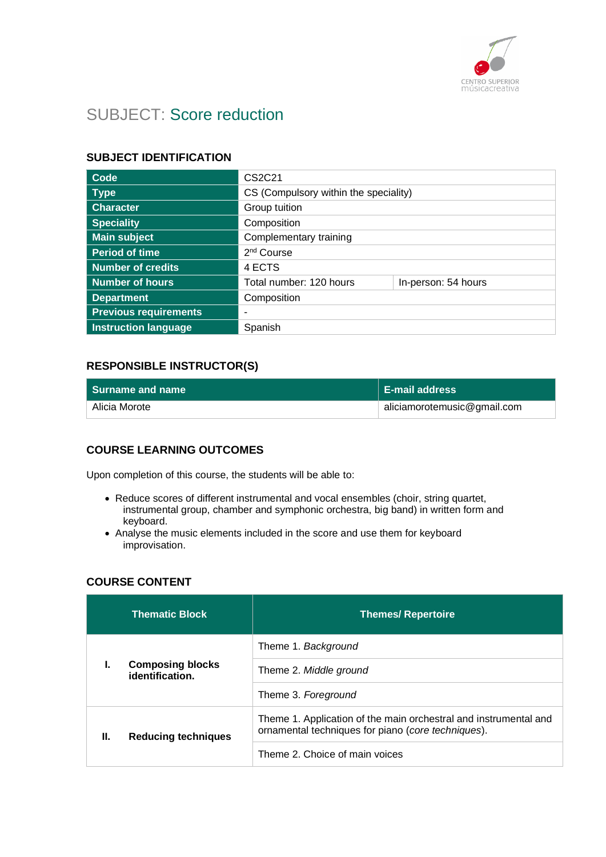

# SUBJECT: Score reduction

## **SUBJECT IDENTIFICATION**

| Code                         | CS2C21                                |                     |
|------------------------------|---------------------------------------|---------------------|
| <b>Type</b>                  | CS (Compulsory within the speciality) |                     |
| <b>Character</b>             | Group tuition                         |                     |
| <b>Speciality</b>            | Composition                           |                     |
| <b>Main subject</b>          | Complementary training                |                     |
| <b>Period of time</b>        | 2 <sup>nd</sup> Course                |                     |
| <b>Number of credits</b>     | 4 ECTS                                |                     |
| <b>Number of hours</b>       | Total number: 120 hours               | In-person: 54 hours |
| <b>Department</b>            | Composition                           |                     |
| <b>Previous requirements</b> |                                       |                     |
| <b>Instruction language</b>  | Spanish                               |                     |

## **RESPONSIBLE INSTRUCTOR(S)**

| l Surname and name ⊥ | <b>E-mail address</b>       |
|----------------------|-----------------------------|
| Alicia Morote        | aliciamorotemusic@gmail.com |

### **COURSE LEARNING OUTCOMES**

Upon completion of this course, the students will be able to:

- Reduce scores of different instrumental and vocal ensembles (choir, string quartet, instrumental group, chamber and symphonic orchestra, big band) in written form and keyboard.
- Analyse the music elements included in the score and use them for keyboard improvisation.

### **COURSE CONTENT**

|    | <b>Thematic Block</b>                      | <b>Themes/ Repertoire</b>                                                                                              |
|----|--------------------------------------------|------------------------------------------------------------------------------------------------------------------------|
|    |                                            | Theme 1. Background                                                                                                    |
| ı. | <b>Composing blocks</b><br>identification. | Theme 2. Middle ground                                                                                                 |
|    | Theme 3. Foreground                        |                                                                                                                        |
| Ш. | <b>Reducing techniques</b>                 | Theme 1. Application of the main orchestral and instrumental and<br>ornamental techniques for piano (core techniques). |
|    | Theme 2. Choice of main voices             |                                                                                                                        |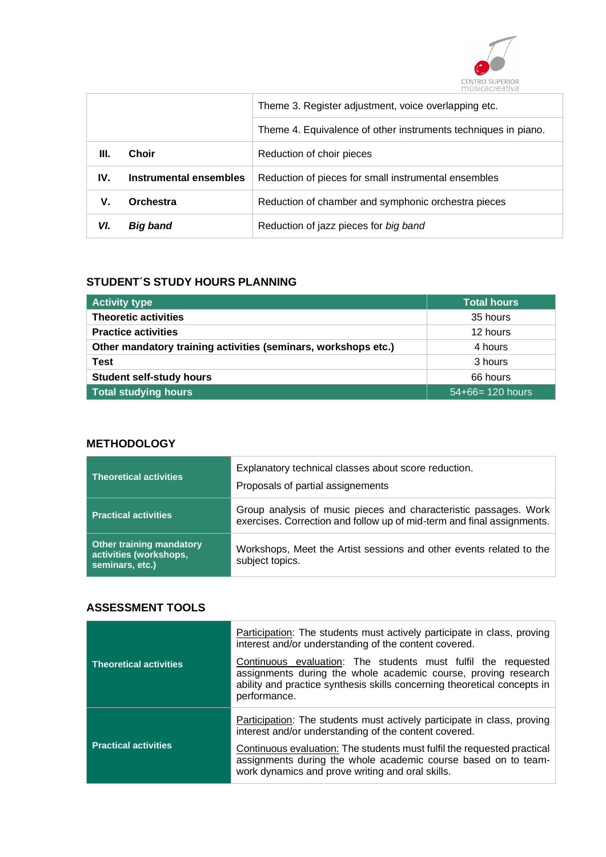

|      |                               | Theme 3. Register adjustment, voice overlapping etc.           |
|------|-------------------------------|----------------------------------------------------------------|
|      |                               | Theme 4. Equivalence of other instruments techniques in piano. |
| III. | <b>Choir</b>                  | Reduction of choir pieces                                      |
| IV.  | <b>Instrumental ensembles</b> | Reduction of pieces for small instrumental ensembles           |
| V.   | Orchestra                     | Reduction of chamber and symphonic orchestra pieces            |
| VI.  | Big band                      | Reduction of jazz pieces for big band                          |

### **STUDENT´S STUDY HOURS PLANNING**

| <b>Activity type</b>                                           | <b>Total hours</b> |
|----------------------------------------------------------------|--------------------|
| <b>Theoretic activities</b>                                    | 35 hours           |
| <b>Practice activities</b>                                     | 12 hours           |
| Other mandatory training activities (seminars, workshops etc.) | 4 hours            |
| Test                                                           | 3 hours            |
| <b>Student self-study hours</b>                                | 66 hours           |
| Total studying hours                                           | $54+66=120$ hours  |

# **METHODOLOGY**

| <b>Theoretical activities</b>                                                | Explanatory technical classes about score reduction.<br>Proposals of partial assignements                                                  |
|------------------------------------------------------------------------------|--------------------------------------------------------------------------------------------------------------------------------------------|
| <b>Practical activities</b>                                                  | Group analysis of music pieces and characteristic passages. Work<br>exercises. Correction and follow up of mid-term and final assignments. |
| <b>Other training mandatory</b><br>activities (workshops,<br>seminars, etc.) | Workshops, Meet the Artist sessions and other events related to the<br>subject topics.                                                     |

## **ASSESSMENT TOOLS**

|                               | <b>Participation:</b> The students must actively participate in class, proving<br>interest and/or understanding of the content covered.                                                                                     |
|-------------------------------|-----------------------------------------------------------------------------------------------------------------------------------------------------------------------------------------------------------------------------|
| <b>Theoretical activities</b> | Continuous evaluation: The students must fulfil the requested<br>assignments during the whole academic course, proving research<br>ability and practice synthesis skills concerning theoretical concepts in<br>performance. |
|                               | <b>Participation:</b> The students must actively participate in class, proving<br>interest and/or understanding of the content covered.                                                                                     |
| <b>Practical activities</b>   | Continuous evaluation: The students must fulfil the requested practical<br>assignments during the whole academic course based on to team-<br>work dynamics and prove writing and oral skills.                               |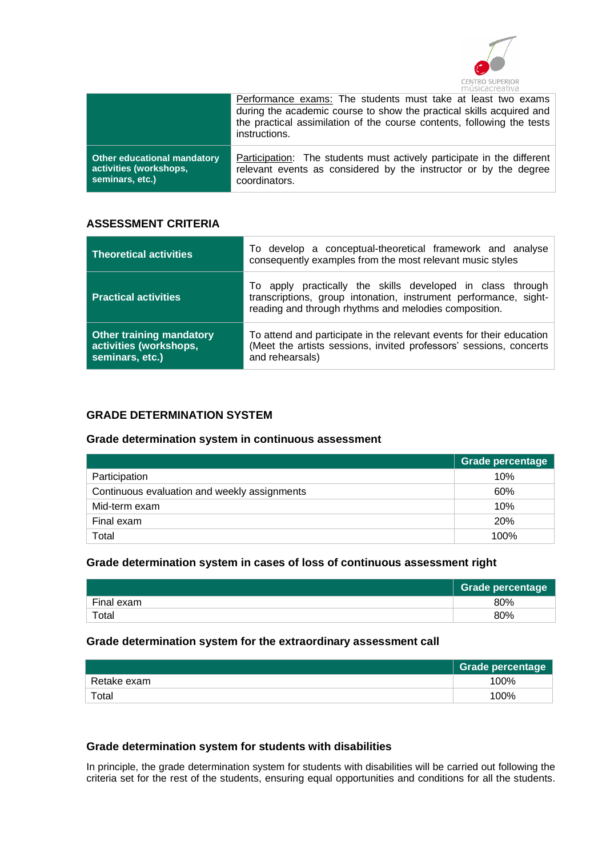

|                             | Performance exams: The students must take at least two exams<br>during the academic course to show the practical skills acquired and<br>the practical assimilation of the course contents, following the tests<br>instructions. |
|-----------------------------|---------------------------------------------------------------------------------------------------------------------------------------------------------------------------------------------------------------------------------|
| Other educational mandatory | <b>Participation:</b> The students must actively participate in the different                                                                                                                                                   |
| activities (workshops,      | relevant events as considered by the instructor or by the degree                                                                                                                                                                |
| seminars, etc.)             | coordinators.                                                                                                                                                                                                                   |

#### **ASSESSMENT CRITERIA**

| <b>Theoretical activities</b>                                                | To develop a conceptual-theoretical framework and analyse<br>consequently examples from the most relevant music styles                                                                  |
|------------------------------------------------------------------------------|-----------------------------------------------------------------------------------------------------------------------------------------------------------------------------------------|
| <b>Practical activities</b>                                                  | To apply practically the skills developed in class through<br>transcriptions, group intonation, instrument performance, sight-<br>reading and through rhythms and melodies composition. |
| <b>Other training mandatory</b><br>activities (workshops,<br>seminars, etc.) | To attend and participate in the relevant events for their education<br>(Meet the artists sessions, invited professors' sessions, concerts<br>and rehearsals)                           |

## **GRADE DETERMINATION SYSTEM**

### **Grade determination system in continuous assessment**

|                                              | Grade percentage |
|----------------------------------------------|------------------|
| Participation                                | 10%              |
| Continuous evaluation and weekly assignments | 60%              |
| Mid-term exam                                | 10%              |
| Final exam                                   | 20%              |
| Total                                        | 100%             |

#### **Grade determination system in cases of loss of continuous assessment right**

|            | <b>Grade percentage</b> |
|------------|-------------------------|
| Final exam | 80%                     |
| Total      | 80%                     |

#### **Grade determination system for the extraordinary assessment call**

|             | Grade percentage |
|-------------|------------------|
| Retake exam | 100%             |
| Total       | 100%             |

#### **Grade determination system for students with disabilities**

In principle, the grade determination system for students with disabilities will be carried out following the criteria set for the rest of the students, ensuring equal opportunities and conditions for all the students.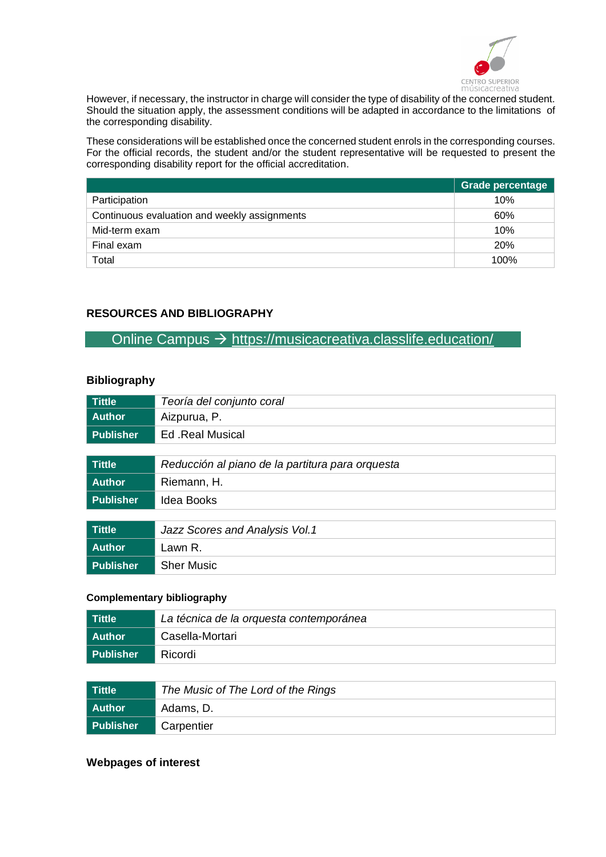

However, if necessary, the instructor in charge will consider the type of disability of the concerned student. Should the situation apply, the assessment conditions will be adapted in accordance to the limitations of the corresponding disability.

These considerations will be established once the concerned student enrols in the corresponding courses. For the official records, the student and/or the student representative will be requested to present the corresponding disability report for the official accreditation.

|                                              | Grade percentage |
|----------------------------------------------|------------------|
| Participation                                | 10%              |
| Continuous evaluation and weekly assignments | 60%              |
| Mid-term exam                                | 10%              |
| Final exam                                   | <b>20%</b>       |
| Total                                        | 100%             |

## **RESOURCES AND BIBLIOGRAPHY**

Online Campus → <https://musicacreativa.classlife.education/>

#### **Bibliography**

| <b>Tittle</b>    | Teoría del conjunto coral                        |
|------------------|--------------------------------------------------|
| <b>Author</b>    | Aizpurua, P.                                     |
| <b>Publisher</b> | Ed .Real Musical                                 |
|                  |                                                  |
| <b>Tittle</b>    | Reducción al piano de la partitura para orquesta |
| <b>Author</b>    | Riemann, H.                                      |
| <b>Publisher</b> | <b>Idea Books</b>                                |
|                  |                                                  |
| <b>Tittle</b>    | Jazz Scores and Analysis Vol.1                   |
| <b>Author</b>    | Lawn R.                                          |
| <b>Publisher</b> | <b>Sher Music</b>                                |

#### **Complementary bibliography**

| l Tittle    | La técnica de la orquesta contemporánea |
|-------------|-----------------------------------------|
| l Author    | Casella-Mortari                         |
| l Publisher | Ricordi                                 |

| Tittle           | The Music of The Lord of the Rings |
|------------------|------------------------------------|
| l Author         | Adams, D.                          |
| <b>Publisher</b> | Carpentier                         |

## **Webpages of interest**